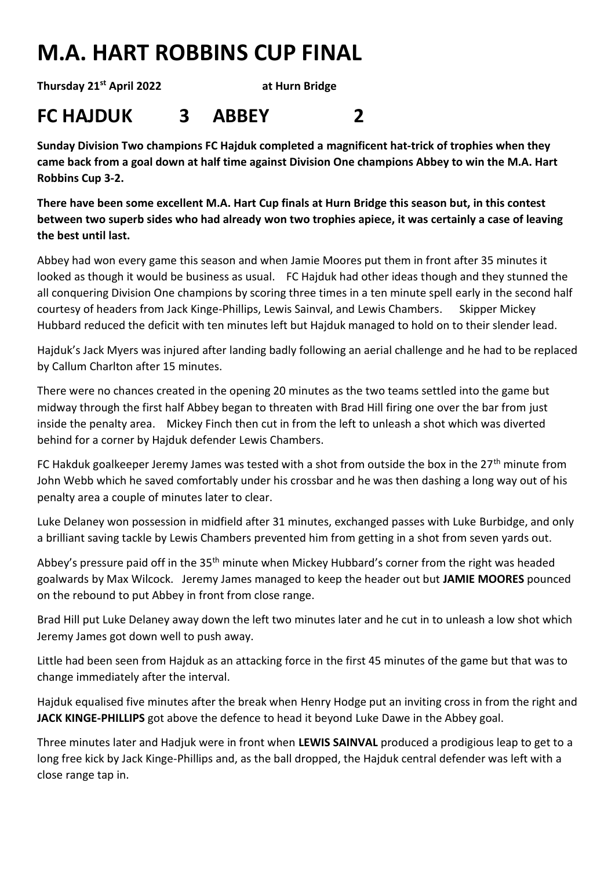## **M.A. HART ROBBINS CUP FINAL**

**Thursday 21st April 2022 at Hurn Bridge**

## **FC HAJDUK 3 ABBEY 2**

**Sunday Division Two champions FC Hajduk completed a magnificent hat-trick of trophies when they came back from a goal down at half time against Division One champions Abbey to win the M.A. Hart Robbins Cup 3-2.**

**There have been some excellent M.A. Hart Cup finals at Hurn Bridge this season but, in this contest between two superb sides who had already won two trophies apiece, it was certainly a case of leaving the best until last.**

Abbey had won every game this season and when Jamie Moores put them in front after 35 minutes it looked as though it would be business as usual. FC Hajduk had other ideas though and they stunned the all conquering Division One champions by scoring three times in a ten minute spell early in the second half courtesy of headers from Jack Kinge-Phillips, Lewis Sainval, and Lewis Chambers. Skipper Mickey Hubbard reduced the deficit with ten minutes left but Hajduk managed to hold on to their slender lead.

Hajduk's Jack Myers was injured after landing badly following an aerial challenge and he had to be replaced by Callum Charlton after 15 minutes.

There were no chances created in the opening 20 minutes as the two teams settled into the game but midway through the first half Abbey began to threaten with Brad Hill firing one over the bar from just inside the penalty area. Mickey Finch then cut in from the left to unleash a shot which was diverted behind for a corner by Hajduk defender Lewis Chambers.

FC Hakduk goalkeeper Jeremy James was tested with a shot from outside the box in the 27<sup>th</sup> minute from John Webb which he saved comfortably under his crossbar and he was then dashing a long way out of his penalty area a couple of minutes later to clear.

Luke Delaney won possession in midfield after 31 minutes, exchanged passes with Luke Burbidge, and only a brilliant saving tackle by Lewis Chambers prevented him from getting in a shot from seven yards out.

Abbey's pressure paid off in the 35<sup>th</sup> minute when Mickey Hubbard's corner from the right was headed goalwards by Max Wilcock. Jeremy James managed to keep the header out but **JAMIE MOORES** pounced on the rebound to put Abbey in front from close range.

Brad Hill put Luke Delaney away down the left two minutes later and he cut in to unleash a low shot which Jeremy James got down well to push away.

Little had been seen from Hajduk as an attacking force in the first 45 minutes of the game but that was to change immediately after the interval.

Hajduk equalised five minutes after the break when Henry Hodge put an inviting cross in from the right and **JACK KINGE-PHILLIPS** got above the defence to head it beyond Luke Dawe in the Abbey goal.

Three minutes later and Hadjuk were in front when **LEWIS SAINVAL** produced a prodigious leap to get to a long free kick by Jack Kinge-Phillips and, as the ball dropped, the Hajduk central defender was left with a close range tap in.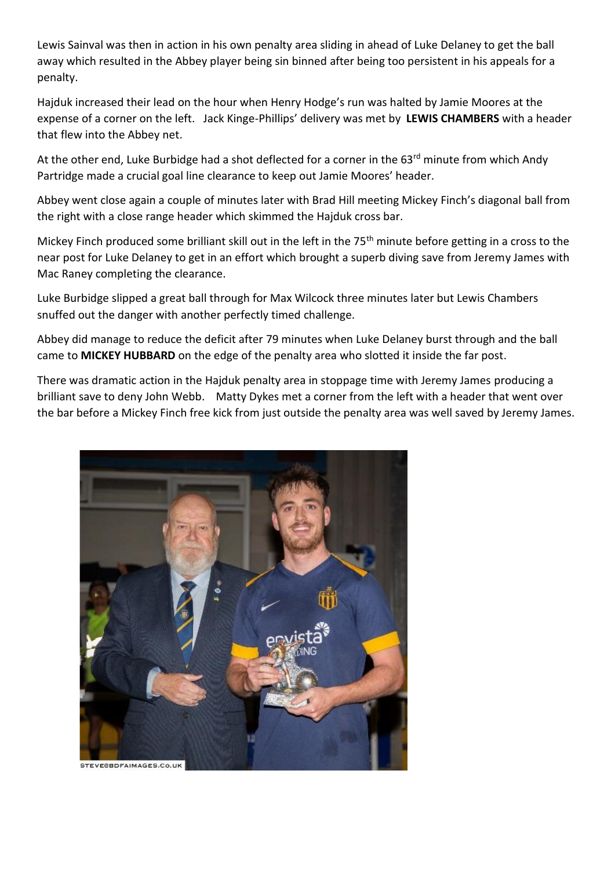Lewis Sainval was then in action in his own penalty area sliding in ahead of Luke Delaney to get the ball away which resulted in the Abbey player being sin binned after being too persistent in his appeals for a penalty.

Hajduk increased their lead on the hour when Henry Hodge's run was halted by Jamie Moores at the expense of a corner on the left. Jack Kinge-Phillips' delivery was met by **LEWIS CHAMBERS** with a header that flew into the Abbey net.

At the other end, Luke Burbidge had a shot deflected for a corner in the 63<sup>rd</sup> minute from which Andy Partridge made a crucial goal line clearance to keep out Jamie Moores' header.

Abbey went close again a couple of minutes later with Brad Hill meeting Mickey Finch's diagonal ball from the right with a close range header which skimmed the Hajduk cross bar.

Mickey Finch produced some brilliant skill out in the left in the 75<sup>th</sup> minute before getting in a cross to the near post for Luke Delaney to get in an effort which brought a superb diving save from Jeremy James with Mac Raney completing the clearance.

Luke Burbidge slipped a great ball through for Max Wilcock three minutes later but Lewis Chambers snuffed out the danger with another perfectly timed challenge.

Abbey did manage to reduce the deficit after 79 minutes when Luke Delaney burst through and the ball came to **MICKEY HUBBARD** on the edge of the penalty area who slotted it inside the far post.

There was dramatic action in the Hajduk penalty area in stoppage time with Jeremy James producing a brilliant save to deny John Webb. Matty Dykes met a corner from the left with a header that went over the bar before a Mickey Finch free kick from just outside the penalty area was well saved by Jeremy James.

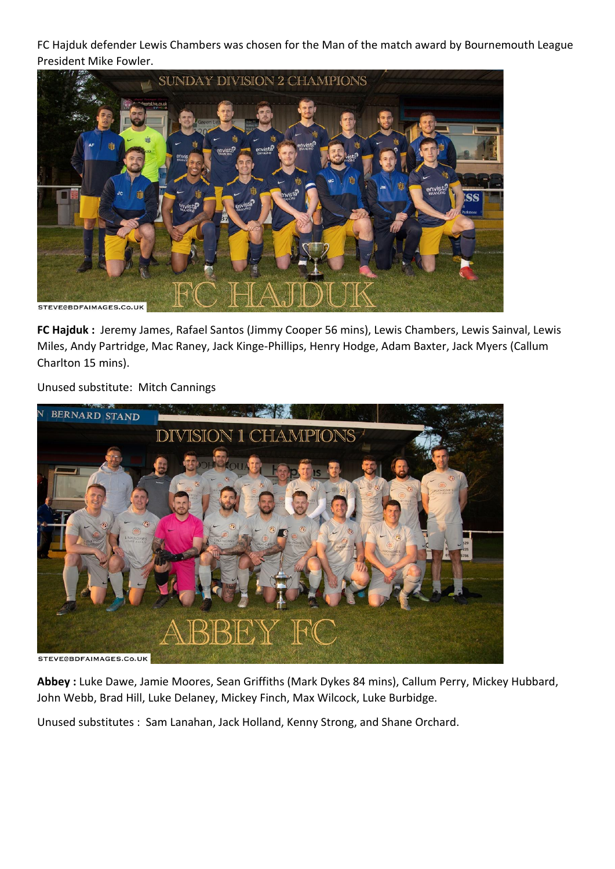FC Hajduk defender Lewis Chambers was chosen for the Man of the match award by Bournemouth League President Mike Fowler.



**FC Hajduk :** Jeremy James, Rafael Santos (Jimmy Cooper 56 mins), Lewis Chambers, Lewis Sainval, Lewis Miles, Andy Partridge, Mac Raney, Jack Kinge-Phillips, Henry Hodge, Adam Baxter, Jack Myers (Callum Charlton 15 mins).

Unused substitute: Mitch Cannings



**Abbey :** Luke Dawe, Jamie Moores, Sean Griffiths (Mark Dykes 84 mins), Callum Perry, Mickey Hubbard, John Webb, Brad Hill, Luke Delaney, Mickey Finch, Max Wilcock, Luke Burbidge.

Unused substitutes : Sam Lanahan, Jack Holland, Kenny Strong, and Shane Orchard.